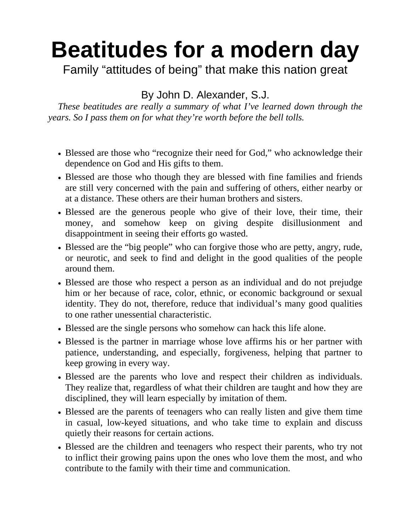## **Beatitudes for a modern day**

Family "attitudes of being" that make this nation great

By John D. Alexander, S.J.

*These beatitudes are really a summary of what I've learned down through the years. So I pass them on for what they're worth before the bell tolls.* 

- Blessed are those who "recognize their need for God," who acknowledge their dependence on God and His gifts to them.
- Blessed are those who though they are blessed with fine families and friends are still very concerned with the pain and suffering of others, either nearby or at a distance. These others are their human brothers and sisters.
- Blessed are the generous people who give of their love, their time, their money, and somehow keep on giving despite disillusionment and disappointment in seeing their efforts go wasted.
- Blessed are the "big people" who can forgive those who are petty, angry, rude, or neurotic, and seek to find and delight in the good qualities of the people around them.
- Blessed are those who respect a person as an individual and do not prejudge him or her because of race, color, ethnic, or economic background or sexual identity. They do not, therefore, reduce that individual's many good qualities to one rather unessential characteristic.
- Blessed are the single persons who somehow can hack this life alone.
- Blessed is the partner in marriage whose love affirms his or her partner with patience, understanding, and especially, forgiveness, helping that partner to keep growing in every way.
- Blessed are the parents who love and respect their children as individuals. They realize that, regardless of what their children are taught and how they are disciplined, they will learn especially by imitation of them.
- Blessed are the parents of teenagers who can really listen and give them time in casual, low-keyed situations, and who take time to explain and discuss quietly their reasons for certain actions.
- Blessed are the children and teenagers who respect their parents, who try not to inflict their growing pains upon the ones who love them the most, and who contribute to the family with their time and communication.